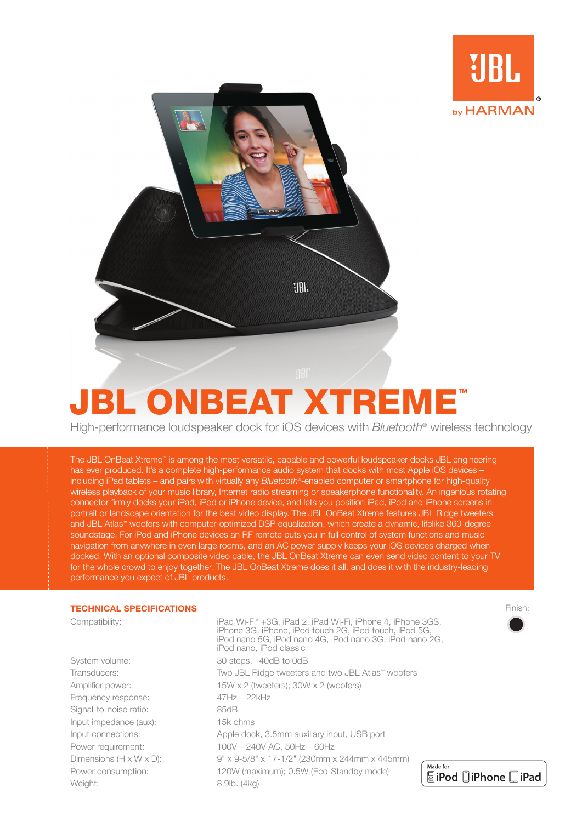



High-performance loudspeaker dock for ios devices with *Bluetooth*® wireless technology

The JBL OnBeat Xtreme™ is among the most versatile, capable and powerful loudspeaker docks JBL engineering has ever produced. It's a complete high-performance audio system that docks with most Apple iOS devices including iPad tablets – and pairs with virtually any *Bluetooth*®-enabled computer or smartphone for high-quality wireless playback of your music library, Internet radio streaming or speakerphone functionality. An ingenious rotating connector firmly docks your iPad, iPod or iPhone device, and lets you position iPad, iPod and iPhone screens in portrait or landscape orientation for the best video display. The JBL OnBeat Xtreme features JBL Ridge tweeters and JBL Atlas™ woofers with computer-optimized DSP equalization, which create a dynamic, lifelike 360-degree soundstage. For iPod and iPhone devices an RF remote puts you in full control of system functions and music navigation from anywhere in even large rooms, and an AC power supply keeps your iOS devices charged when docked. With an optional composite video cable, the JBL OnBeat Xtreme can even send video content to your TV for the whole crowd to enjoy together. The JBL OnBeat Xtreme does it all, and does it with the industry-leading performance you expect of JBL products.

## **TECHNICAL SPECIFICATIONS**

Frequency response: 47Hz – 22kHz Signal-to-noise ratio: 85dB Input impedance (aux): 15k ohms Weight: 8.9lb. (4kg)

Compatibility: iPad Wi-Fi® +3G, iPad 2, iPad Wi-Fi, iPhone 4, iPhone 3GS, iPhone 3G, iPhone, iPod touch 2G, iPod touch, iPod 5G, iPod nano 5G, iPod nano 4G, iPod nano 3G, iPod nano 2G, iPod nano, iPod classic System volume: 30 steps,  $-40$ dB to 0dB Transducers: Two JBL Ridge tweeters and two JBL Atlas™ woofers Amplifier power: 15W x 2 (tweeters); 30W x 2 (woofers) Input connections: Apple dock, 3.5mm auxiliary input, USB port Power requirement: 100V – 240V AC, 50Hz – 60Hz Dimensions (H x W x D): 9" x 9-5/8" x 17-1/2" (230mm x 244mm x 445mm) Power consumption: 120W (maximum); 0.5W (Eco-Standby mode)